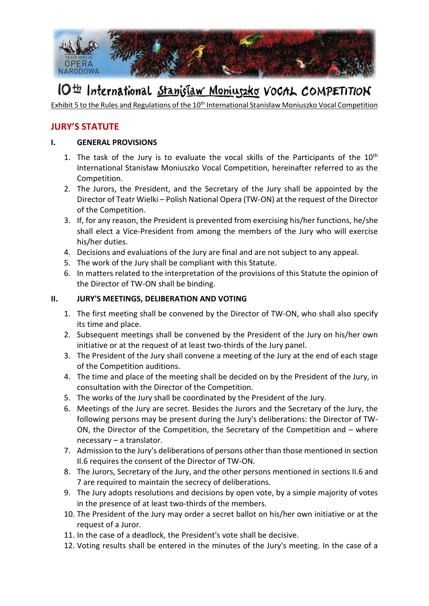

# IO<sup>th</sup> International Stanislaw Moniuszko VoCAL COMPETITION

Exhibit 5 to the Rules and Regulations of the 10<sup>th</sup> International Stanisław Moniuszko Vocal Competition

### **JURY'S STATUTE**

### **I. GENERAL PROVISIONS**

- 1. The task of the Jury is to evaluate the vocal skills of the Participants of the  $10<sup>th</sup>$ International Stanisław Moniuszko Vocal Competition, hereinafter referred to as the Competition.
- 2. The Jurors, the President, and the Secretary of the Jury shall be appointed by the Director of Teatr Wielki – Polish National Opera (TW-ON) at the request of the Director of the Competition.
- 3. If, for any reason, the President is prevented from exercising his/her functions, he/she shall elect a Vice-President from among the members of the Jury who will exercise his/her duties.
- 4. Decisions and evaluations of the Jury are final and are not subject to any appeal.
- 5. The work of the Jury shall be compliant with this Statute.
- 6. In matters related to the interpretation of the provisions of this Statute the opinion of the Director of TW-ON shall be binding.

### **II. JURY'S MEETINGS, DELIBERATION AND VOTING**

- 1. The first meeting shall be convened by the Director of TW-ON, who shall also specify its time and place.
- 2. Subsequent meetings shall be convened by the President of the Jury on his/her own initiative or at the request of at least two-thirds of the Jury panel.
- 3. The President of the Jury shall convene a meeting of the Jury at the end of each stage of the Competition auditions.
- 4. The time and place of the meeting shall be decided on by the President of the Jury, in consultation with the Director of the Competition.
- 5. The works of the Jury shall be coordinated by the President of the Jury.
- 6. Meetings of the Jury are secret. Besides the Jurors and the Secretary of the Jury, the following persons may be present during the Jury's deliberations: the Director of TW-ON, the Director of the Competition, the Secretary of the Competition and – where necessary – a translator.
- 7. Admission to the Jury's deliberations of persons other than those mentioned in section II.6 requires the consent of the Director of TW-ON.
- 8. The Jurors, Secretary of the Jury, and the other persons mentioned in sections II.6 and 7 are required to maintain the secrecy of deliberations.
- 9. The Jury adopts resolutions and decisions by open vote, by a simple majority of votes in the presence of at least two-thirds of the members.
- 10. The President of the Jury may order a secret ballot on his/her own initiative or at the request of a Juror.
- 11. In the case of a deadlock, the President's vote shall be decisive.
- 12. Voting results shall be entered in the minutes of the Jury's meeting. In the case of a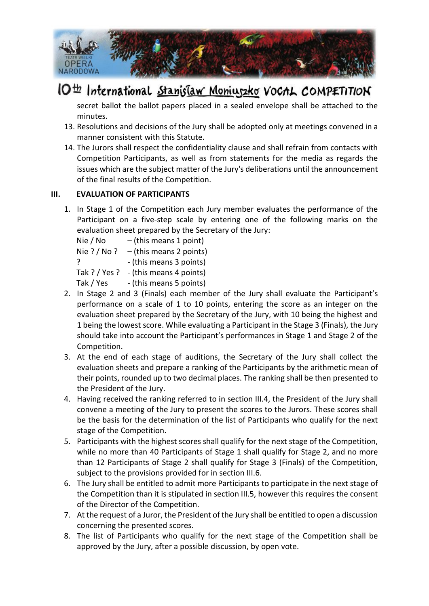

# IO<sup>th</sup> International Stanislaw Moniuszko VoCAL COMPETITION

secret ballot the ballot papers placed in a sealed envelope shall be attached to the minutes.

- 13. Resolutions and decisions of the Jury shall be adopted only at meetings convened in a manner consistent with this Statute.
- 14. The Jurors shall respect the confidentiality clause and shall refrain from contacts with Competition Participants, as well as from statements for the media as regards the issues which are the subject matter of the Jury's deliberations until the announcement of the final results of the Competition.

### **III. EVALUATION OF PARTICIPANTS**

1. In Stage 1 of the Competition each Jury member evaluates the performance of the Participant on a five-step scale by entering one of the following marks on the evaluation sheet prepared by the Secretary of the Jury:

Nie / No  $-$  (this means 1 point) Nie ? / No ?  $-$  (this means 2 points) ? (this means 3 points) Tak ? / Yes ? - (this means 4 points) Tak / Yes - (this means 5 points)

- 2. In Stage 2 and 3 (Finals) each member of the Jury shall evaluate the Participant's performance on a scale of 1 to 10 points, entering the score as an integer on the evaluation sheet prepared by the Secretary of the Jury, with 10 being the highest and 1 being the lowest score. While evaluating a Participant in the Stage 3 (Finals), the Jury should take into account the Participant's performances in Stage 1 and Stage 2 of the Competition.
- 3. At the end of each stage of auditions, the Secretary of the Jury shall collect the evaluation sheets and prepare a ranking of the Participants by the arithmetic mean of their points, rounded up to two decimal places. The ranking shall be then presented to the President of the Jury.
- 4. Having received the ranking referred to in section III.4, the President of the Jury shall convene a meeting of the Jury to present the scores to the Jurors. These scores shall be the basis for the determination of the list of Participants who qualify for the next stage of the Competition.
- 5. Participants with the highest scores shall qualify for the next stage of the Competition, while no more than 40 Participants of Stage 1 shall qualify for Stage 2, and no more than 12 Participants of Stage 2 shall qualify for Stage 3 (Finals) of the Competition, subject to the provisions provided for in section III.6.
- 6. The Jury shall be entitled to admit more Participants to participate in the next stage of the Competition than it is stipulated in section III.5, however this requires the consent of the Director of the Competition.
- 7. At the request of a Juror, the President of the Jury shall be entitled to open a discussion concerning the presented scores.
- 8. The list of Participants who qualify for the next stage of the Competition shall be approved by the Jury, after a possible discussion, by open vote.